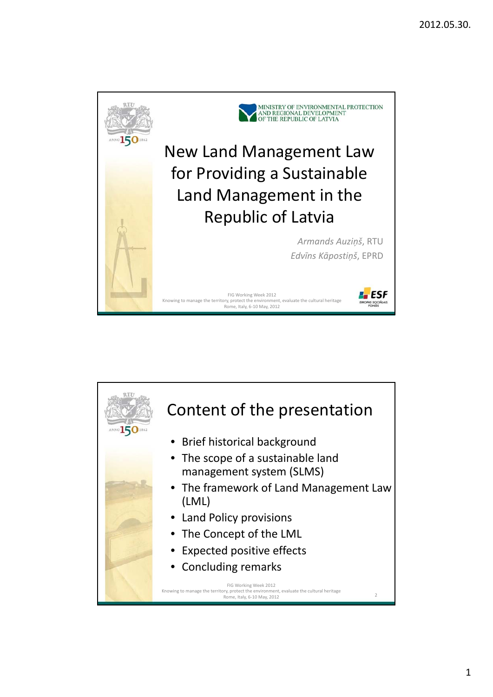

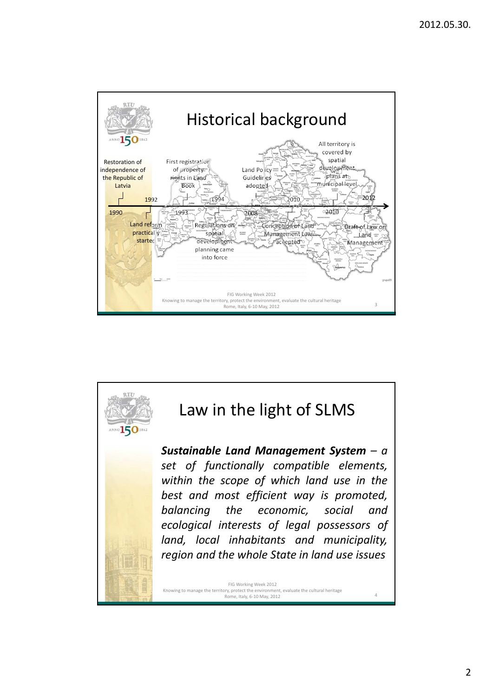

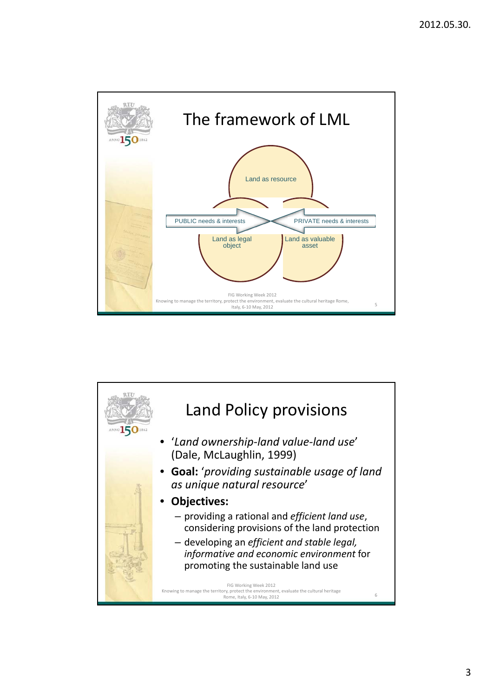

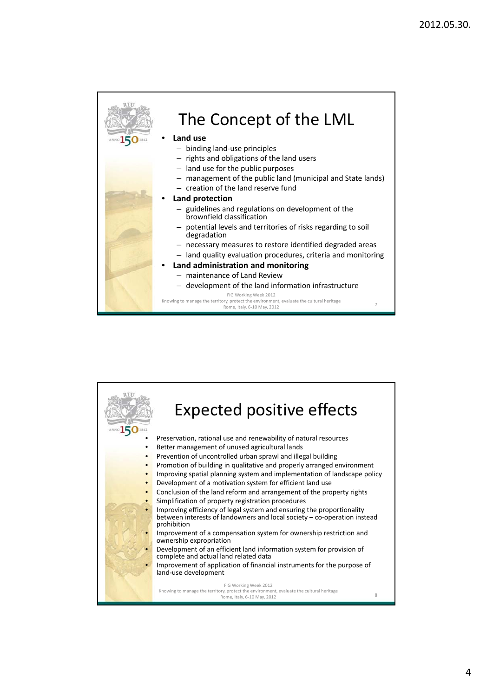

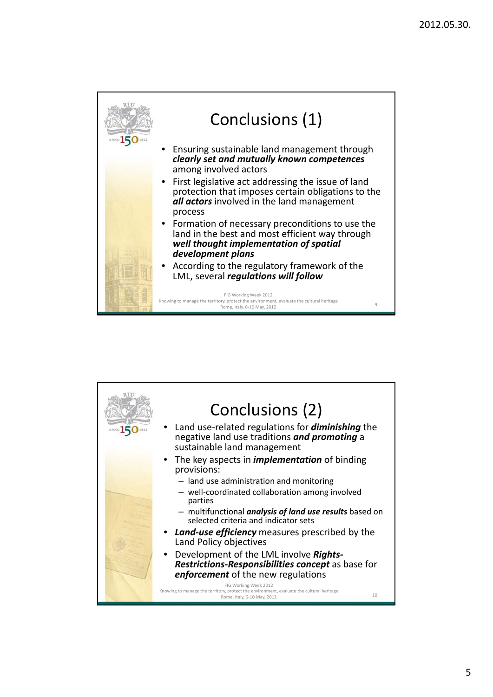